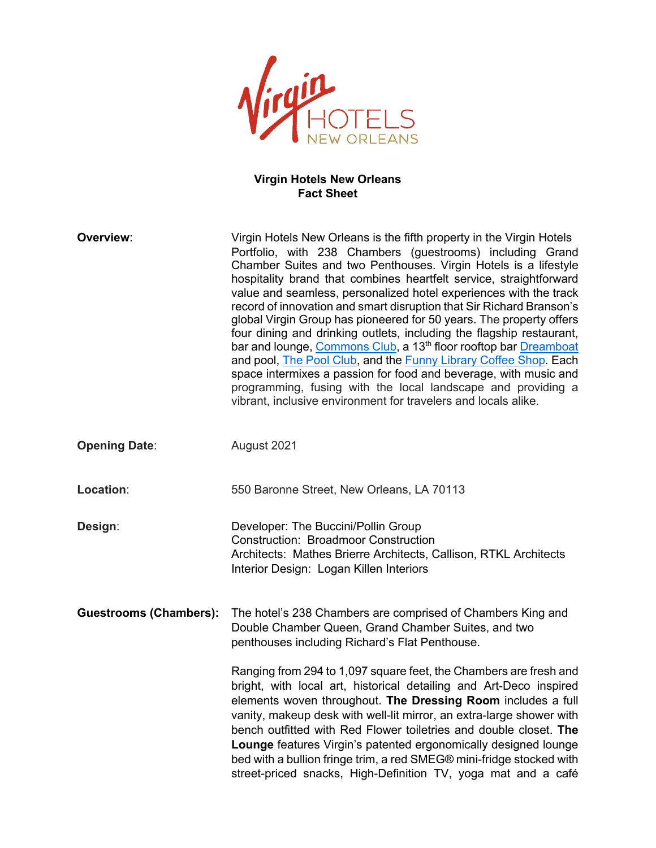$\sqrt{irq}$ ELS<br>EANS

# **Virgin Hotels New Orleans Fact Sheet**

| Overview:                     | Virgin Hotels New Orleans is the fifth property in the Virgin Hotels<br>Portfolio, with 238 Chambers (guestrooms) including Grand<br>Chamber Suites and two Penthouses. Virgin Hotels is a lifestyle<br>hospitality brand that combines heartfelt service, straightforward<br>value and seamless, personalized hotel experiences with the track<br>record of innovation and smart disruption that Sir Richard Branson's<br>global Virgin Group has pioneered for 50 years. The property offers<br>four dining and drinking outlets, including the flagship restaurant,<br>bar and lounge, Commons Club, a 13 <sup>th</sup> floor rooftop bar Dreamboat<br>and pool, The Pool Club, and the Funny Library Coffee Shop. Each<br>space intermixes a passion for food and beverage, with music and<br>programming, fusing with the local landscape and providing a<br>vibrant, inclusive environment for travelers and locals alike. |
|-------------------------------|----------------------------------------------------------------------------------------------------------------------------------------------------------------------------------------------------------------------------------------------------------------------------------------------------------------------------------------------------------------------------------------------------------------------------------------------------------------------------------------------------------------------------------------------------------------------------------------------------------------------------------------------------------------------------------------------------------------------------------------------------------------------------------------------------------------------------------------------------------------------------------------------------------------------------------|
| <b>Opening Date:</b>          | August 2021                                                                                                                                                                                                                                                                                                                                                                                                                                                                                                                                                                                                                                                                                                                                                                                                                                                                                                                      |
| Location:                     | 550 Baronne Street, New Orleans, LA 70113                                                                                                                                                                                                                                                                                                                                                                                                                                                                                                                                                                                                                                                                                                                                                                                                                                                                                        |
| Design:                       | Developer: The Buccini/Pollin Group<br><b>Construction: Broadmoor Construction</b><br>Architects: Mathes Brierre Architects, Callison, RTKL Architects<br>Interior Design: Logan Killen Interiors                                                                                                                                                                                                                                                                                                                                                                                                                                                                                                                                                                                                                                                                                                                                |
| <b>Guestrooms (Chambers):</b> | The hotel's 238 Chambers are comprised of Chambers King and<br>Double Chamber Queen, Grand Chamber Suites, and two<br>penthouses including Richard's Flat Penthouse.                                                                                                                                                                                                                                                                                                                                                                                                                                                                                                                                                                                                                                                                                                                                                             |
|                               | Ranging from 294 to 1,097 square feet, the Chambers are fresh and<br>bright, with local art, historical detailing and Art-Deco inspired<br>elements woven throughout. The Dressing Room includes a full<br>vanity, makeup desk with well-lit mirror, an extra-large shower with<br>bench outfitted with Red Flower toiletries and double closet. The<br>Lounge features Virgin's patented ergonomically designed lounge<br>bed with a bullion fringe trim, a red SMEG® mini-fridge stocked with<br>street-priced snacks, High-Definition TV, yoga mat and a café                                                                                                                                                                                                                                                                                                                                                                 |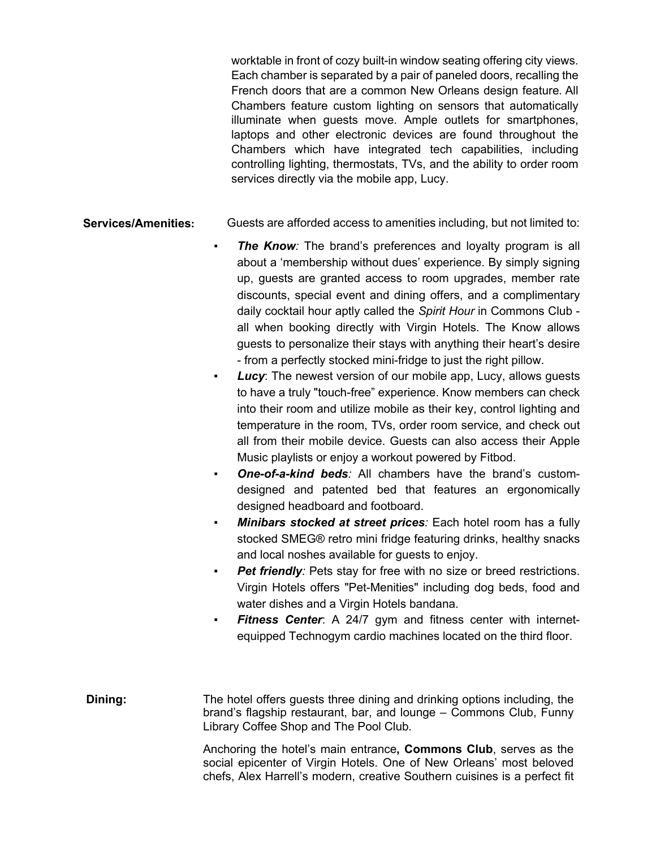worktable in front of cozy built-in window seating offering city views. Each chamber is separated by a pair of paneled doors, recalling the French doors that are a common New Orleans design feature. All Chambers feature custom lighting on sensors that automatically illuminate when guests move. Ample outlets for smartphones, laptops and other electronic devices are found throughout the Chambers which have integrated tech capabilities, including controlling lighting, thermostats, TVs, and the ability to order room services directly via the mobile app, Lucy.

# **Services/Amenities:** Guests are afforded access to amenities including, but not limited to:

- *The Know:* The brand's preferences and loyalty program is all about a 'membership without dues' experience. By simply signing up, guests are granted access to room upgrades, member rate discounts, special event and dining offers, and a complimentary daily cocktail hour aptly called the *Spirit Hour* in Commons Club all when booking directly with Virgin Hotels. The Know allows guests to personalize their stays with anything their heart's desire - from a perfectly stocked mini-fridge to just the right pillow.
- *Lucy*: The newest version of our mobile app, Lucy, allows guests to have a truly "touch-free" experience. Know members can check into their room and utilize mobile as their key, control lighting and temperature in the room, TVs, order room service, and check out all from their mobile device. Guests can also access their Apple Music playlists or enjoy a workout powered by Fitbod.
- *One-of-a-kind beds:* All chambers have the brand's customdesigned and patented bed that features an ergonomically designed headboard and footboard.
- *Minibars stocked at street prices:* Each hotel room has a fully stocked SMEG® retro mini fridge featuring drinks, healthy snacks and local noshes available for guests to enjoy.
- Pet friendly: Pets stay for free with no size or breed restrictions. Virgin Hotels offers "Pet-Menities" including dog beds, food and water dishes and a Virgin Hotels bandana.
- *Fitness Center*: A 24/7 gym and fitness center with internetequipped Technogym cardio machines located on the third floor.

**Dining:** The hotel offers guests three dining and drinking options including, the brand's flagship restaurant, bar, and lounge – Commons Club, Funny Library Coffee Shop and The Pool Club.

> Anchoring the hotel's main entrance**, Commons Club**, serves as the social epicenter of Virgin Hotels. One of New Orleans' most beloved chefs, Alex Harrell's modern, creative Southern cuisines is a perfect fit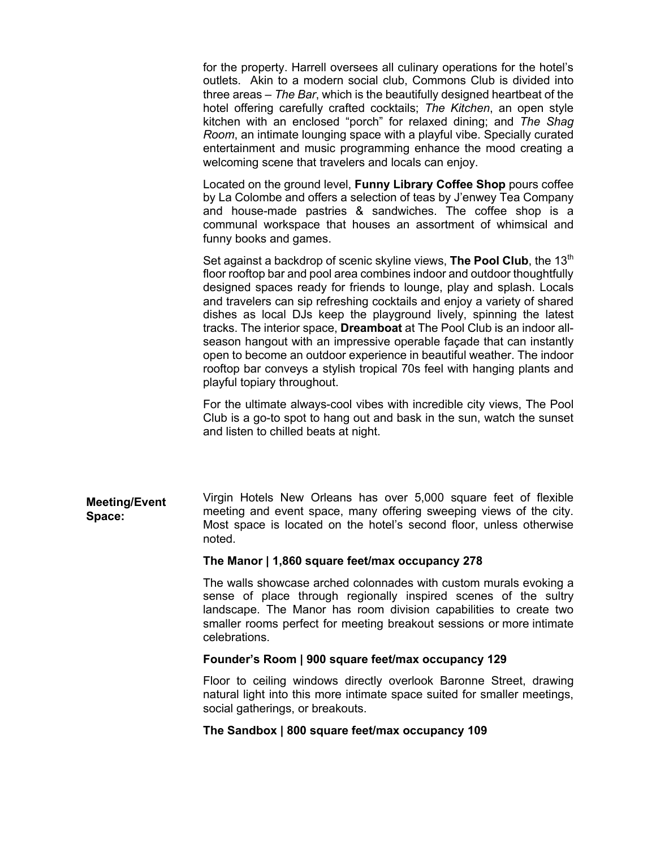for the property. Harrell oversees all culinary operations for the hotel's outlets. Akin to a modern social club, Commons Club is divided into three areas – *The Bar*, which is the beautifully designed heartbeat of the hotel offering carefully crafted cocktails; *The Kitchen*, an open style kitchen with an enclosed "porch" for relaxed dining; and *The Shag Room*, an intimate lounging space with a playful vibe. Specially curated entertainment and music programming enhance the mood creating a welcoming scene that travelers and locals can enjoy.

Located on the ground level, **Funny Library Coffee Shop** pours coffee by La Colombe and offers a selection of teas by J'enwey Tea Company and house-made pastries & sandwiches. The coffee shop is a communal workspace that houses an assortment of whimsical and funny books and games.

Set against a backdrop of scenic skyline views, **The Pool Club**, the 13<sup>th</sup> floor rooftop bar and pool area combines indoor and outdoor thoughtfully designed spaces ready for friends to lounge, play and splash. Locals and travelers can sip refreshing cocktails and enjoy a variety of shared dishes as local DJs keep the playground lively, spinning the latest tracks. The interior space, **Dreamboat** at The Pool Club is an indoor allseason hangout with an impressive operable façade that can instantly open to become an outdoor experience in beautiful weather. The indoor rooftop bar conveys a stylish tropical 70s feel with hanging plants and playful topiary throughout.

For the ultimate always-cool vibes with incredible city views, The Pool Club is a go-to spot to hang out and bask in the sun, watch the sunset and listen to chilled beats at night.

**Meeting/Event Space:** Virgin Hotels New Orleans has over 5,000 square feet of flexible meeting and event space, many offering sweeping views of the city. Most space is located on the hotel's second floor, unless otherwise noted.

#### **The Manor | 1,860 square feet/max occupancy 278**

The walls showcase arched colonnades with custom murals evoking a sense of place through regionally inspired scenes of the sultry landscape. The Manor has room division capabilities to create two smaller rooms perfect for meeting breakout sessions or more intimate celebrations.

#### **Founder's Room | 900 square feet/max occupancy 129**

Floor to ceiling windows directly overlook Baronne Street, drawing natural light into this more intimate space suited for smaller meetings, social gatherings, or breakouts.

#### **The Sandbox | 800 square feet/max occupancy 109**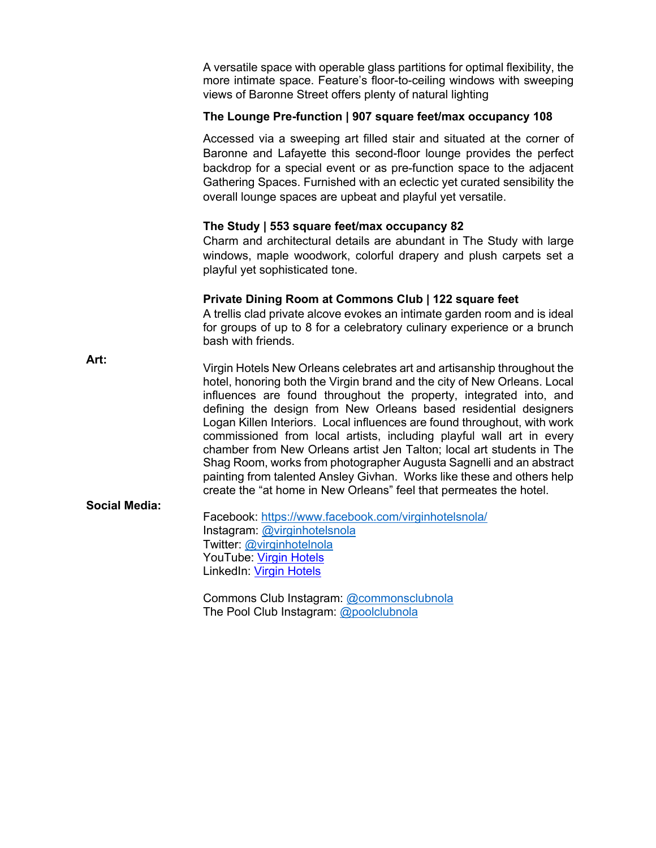A versatile space with operable glass partitions for optimal flexibility, the more intimate space. Feature's floor-to-ceiling windows with sweeping views of Baronne Street offers plenty of natural lighting

## **The Lounge Pre-function | 907 square feet/max occupancy 108**

Accessed via a sweeping art filled stair and situated at the corner of Baronne and Lafayette this second-floor lounge provides the perfect backdrop for a special event or as pre-function space to the adjacent Gathering Spaces. Furnished with an eclectic yet curated sensibility the overall lounge spaces are upbeat and playful yet versatile.

## **The Study | 553 square feet/max occupancy 82**

Charm and architectural details are abundant in The Study with large windows, maple woodwork, colorful drapery and plush carpets set a playful yet sophisticated tone.

## **Private Dining Room at Commons Club | 122 square feet**

A trellis clad private alcove evokes an intimate garden room and is ideal for groups of up to 8 for a celebratory culinary experience or a brunch bash with friends.

| Art:                 | Virgin Hotels New Orleans celebrates art and artisanship throughout the<br>hotel, honoring both the Virgin brand and the city of New Orleans. Local<br>influences are found throughout the property, integrated into, and<br>defining the design from New Orleans based residential designers<br>Logan Killen Interiors. Local influences are found throughout, with work<br>commissioned from local artists, including playful wall art in every |
|----------------------|---------------------------------------------------------------------------------------------------------------------------------------------------------------------------------------------------------------------------------------------------------------------------------------------------------------------------------------------------------------------------------------------------------------------------------------------------|
|                      | chamber from New Orleans artist Jen Talton; local art students in The<br>Shag Room, works from photographer Augusta Sagnelli and an abstract<br>painting from talented Ansley Givhan. Works like these and others help<br>create the "at home in New Orleans" feel that permeates the hotel.                                                                                                                                                      |
| <b>Social Media:</b> | $\Gamma$ goobooku https://www.fooobook.com/wirginhatolonala/                                                                                                                                                                                                                                                                                                                                                                                      |

Facebook: https://www.facebook.com/virginhotelsnola/ Instagram: @virginhotelsnola Twitter: @virginhotelnola YouTube: Virgin Hotels LinkedIn: Virgin Hotels

Commons Club Instagram: @commonsclubnola The Pool Club Instagram: @poolclubnola